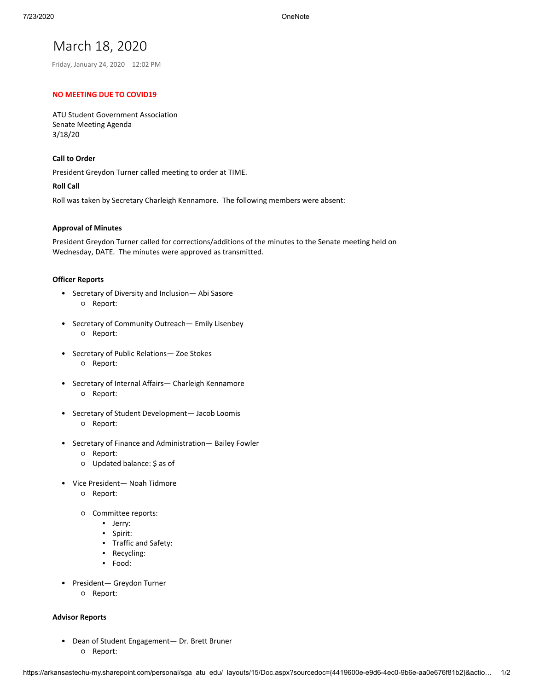# March 18, 2020

Friday, January 24, 2020 12:02 PM

### **NO MEETING DUE TO COVID19**

ATU Student Government Association Senate Meeting Agenda 3/18/20

### **Call to Order**

President Greydon Turner called meeting to order at TIME.

### **Roll Call**

Roll was taken by Secretary Charleigh Kennamore. The following members were absent:

### **Approval of Minutes**

President Greydon Turner called for corrections/additions of the minutes to the Senate meeting held on Wednesday, DATE. The minutes were approved as transmitted.

### **Officer Reports**

- Secretary of Diversity and Inclusion— Abi Sasore ○ Report:
- Secretary of Community Outreach— Emily Lisenbey ○ Report:
- Secretary of Public Relations— Zoe Stokes ○ Report:
- Secretary of Internal Affairs— Charleigh Kennamore ○ Report:
- Secretary of Student Development— Jacob Loomis ○ Report:
- Secretary of Finance and Administration— Bailey Fowler
	- Report:
	- Updated balance: \$ as of
- Vice President— Noah Tidmore
	- Report:
	- Committee reports:
		- Jerry:
		- Spirit:
		- Traffic and Safety:
		- Recycling:
		- Food:
- President— Greydon Turner
	- Report:

#### **Advisor Reports**

• Dean of Student Engagement— Dr. Brett Bruner ○ Report: